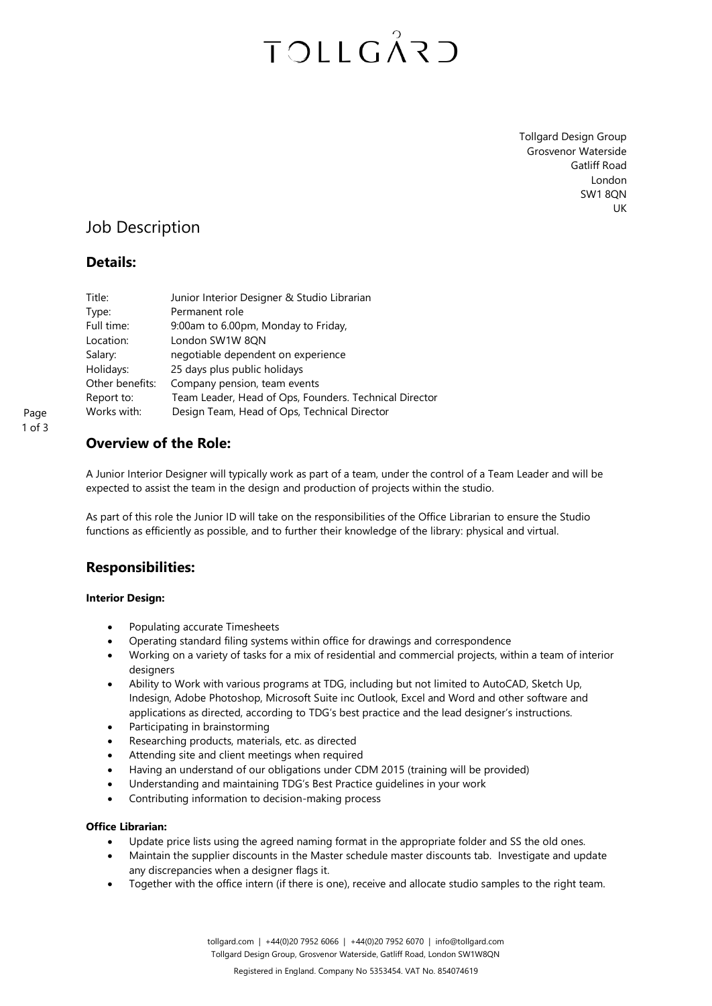## TOLLGÅRD

Tollgard Design Group Grosvenor Waterside Gatliff Road London SW1 8QN UK

## Job Description

### **Details:**

| Title:          | Junior Interior Designer & Studio Librarian            |
|-----------------|--------------------------------------------------------|
| Type:           | Permanent role                                         |
| Full time:      | 9:00am to 6.00pm, Monday to Friday,                    |
| Location:       | London SW1W 8QN                                        |
| Salary:         | negotiable dependent on experience                     |
| Holidays:       | 25 days plus public holidays                           |
| Other benefits: | Company pension, team events                           |
| Report to:      | Team Leader, Head of Ops, Founders. Technical Director |
| Works with:     | Design Team, Head of Ops, Technical Director           |

Page 1 of 3

### **Overview of the Role:**

A Junior Interior Designer will typically work as part of a team, under the control of a Team Leader and will be expected to assist the team in the design and production of projects within the studio.

As part of this role the Junior ID will take on the responsibilities of the Office Librarian to ensure the Studio functions as efficiently as possible, and to further their knowledge of the library: physical and virtual.

### **Responsibilities:**

#### **Interior Design:**

- Populating accurate Timesheets
- Operating standard filing systems within office for drawings and correspondence
- Working on a variety of tasks for a mix of residential and commercial projects, within a team of interior designers
- Ability to Work with various programs at TDG, including but not limited to AutoCAD, Sketch Up, Indesign, Adobe Photoshop, Microsoft Suite inc Outlook, Excel and Word and other software and applications as directed, according to TDG's best practice and the lead designer's instructions.
- Participating in brainstorming
- Researching products, materials, etc. as directed
- Attending site and client meetings when required
- Having an understand of our obligations under CDM 2015 (training will be provided)
- Understanding and maintaining TDG's Best Practice guidelines in your work
- Contributing information to decision-making process

#### **Office Librarian:**

- Update price lists using the agreed naming format in the appropriate folder and SS the old ones.
- Maintain the supplier discounts in the Master schedule master discounts tab. Investigate and update any discrepancies when a designer flags it.
- Together with the office intern (if there is one), receive and allocate studio samples to the right team.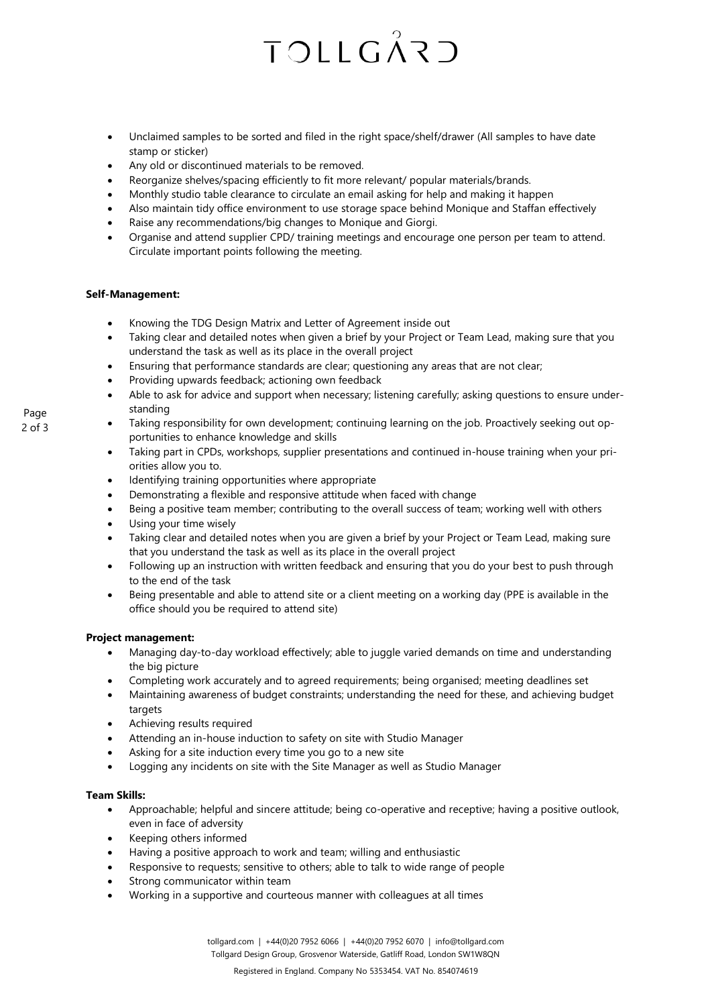# **TOLLGÅRD**

- Unclaimed samples to be sorted and filed in the right space/shelf/drawer (All samples to have date stamp or sticker)
- Any old or discontinued materials to be removed.
- Reorganize shelves/spacing efficiently to fit more relevant/ popular materials/brands.
- Monthly studio table clearance to circulate an email asking for help and making it happen
- Also maintain tidy office environment to use storage space behind Monique and Staffan effectively
- Raise any recommendations/big changes to Monique and Giorgi.
- Organise and attend supplier CPD/ training meetings and encourage one person per team to attend. Circulate important points following the meeting.

#### **Self-Management:**

- Knowing the TDG Design Matrix and Letter of Agreement inside out
- Taking clear and detailed notes when given a brief by your Project or Team Lead, making sure that you understand the task as well as its place in the overall project
- Ensuring that performance standards are clear; questioning any areas that are not clear;
- Providing upwards feedback; actioning own feedback
- Able to ask for advice and support when necessary; listening carefully; asking questions to ensure understanding
- Taking responsibility for own development; continuing learning on the job. Proactively seeking out opportunities to enhance knowledge and skills
- Taking part in CPDs, workshops, supplier presentations and continued in-house training when your priorities allow you to.
- Identifying training opportunities where appropriate
- Demonstrating a flexible and responsive attitude when faced with change
- Being a positive team member; contributing to the overall success of team; working well with others
- Using your time wisely
- Taking clear and detailed notes when you are given a brief by your Project or Team Lead, making sure that you understand the task as well as its place in the overall project
- Following up an instruction with written feedback and ensuring that you do your best to push through to the end of the task
- Being presentable and able to attend site or a client meeting on a working day (PPE is available in the office should you be required to attend site)

#### **Project management:**

- Managing day-to-day workload effectively; able to juggle varied demands on time and understanding the big picture
- Completing work accurately and to agreed requirements; being organised; meeting deadlines set
- Maintaining awareness of budget constraints; understanding the need for these, and achieving budget targets
- Achieving results required
- Attending an in-house induction to safety on site with Studio Manager
- Asking for a site induction every time you go to a new site
- Logging any incidents on site with the Site Manager as well as Studio Manager

#### **Team Skills:**

- Approachable; helpful and sincere attitude; being co-operative and receptive; having a positive outlook, even in face of adversity
- Keeping others informed
- Having a positive approach to work and team; willing and enthusiastic
- Responsive to requests; sensitive to others; able to talk to wide range of people
- Strong communicator within team
- Working in a supportive and courteous manner with colleagues at all times

Page 2 of 3